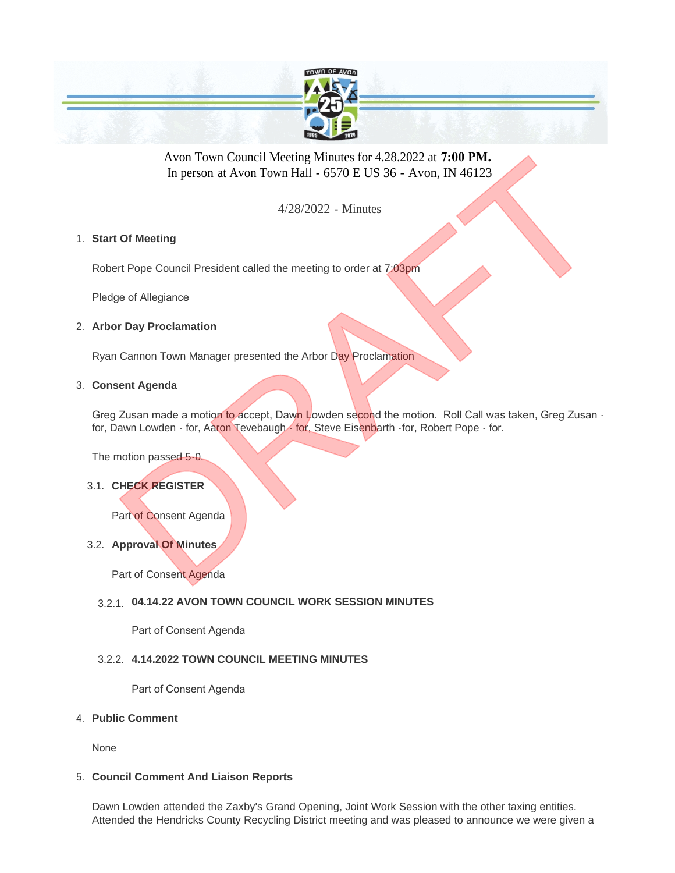

Avon Town Council Meeting Minutes for 4.28.2022 at **7:00 PM.**  In person at Avon Town Hall **-** 6570 E US 36 - Avon, IN 46123

4/28/2022 - Minutes

# **Start Of Meeting** 1.

Robert Pope Council President called the meeting to order at 7:03pm

Pledge of Allegiance

### **Arbor Day Proclamation** 2.

Ryan Cannon Town Manager presented the Arbor Day Proclamation

### **Consent Agenda** 3.

Greg Zusan made a motion to accept, Dawn Lowden second the motion. Roll Call was taken, Greg Zusan for, Dawn Lowden - for, Aaron Tevebaugh - for, Steve Eisenbarth - for, Robert Pope - for. Avon Town Council Meeting Minutes for 4.28.2022 at 7:00 PM.<br>
In person at Avon Town Hall - 6570 E US 36 - Avon, IN 46123<br>
4/28/2022 - Minutes<br>
Of Meeting<br>
of Allegiance<br>
pe of Allegiance<br>
pe of Allegiance<br>
pe of Allegiance

The motion passed 5-0.

# **CHECK REGISTER** 3.1.

Part of Consent Agenda

# **Approval Of Minutes** 3.2.

Part of Consent Agenda

# **04.14.22 AVON TOWN COUNCIL WORK SESSION MINUTES**  3.2.1.

Part of Consent Agenda

### **4.14.2022 TOWN COUNCIL MEETING MINUTES** 3.2.2.

Part of Consent Agenda

### **Public Comment** 4.

None

### **Council Comment And Liaison Reports** 5.

Dawn Lowden attended the Zaxby's Grand Opening, Joint Work Session with the other taxing entities. Attended the Hendricks County Recycling District meeting and was pleased to announce we were given a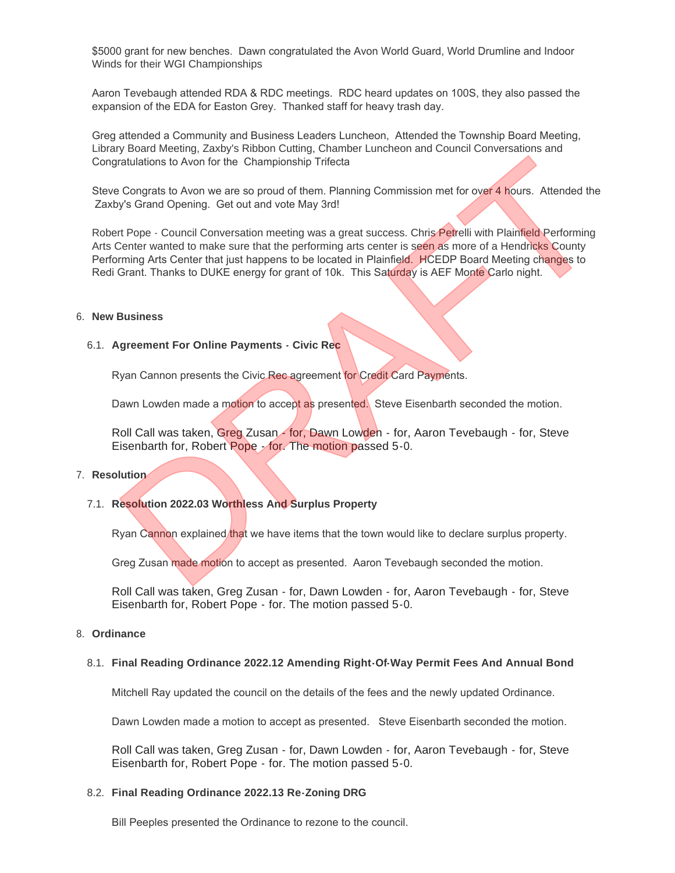\$5000 grant for new benches. Dawn congratulated the Avon World Guard, World Drumline and Indoor Winds for their WGI Championships

Aaron Tevebaugh attended RDA & RDC meetings. RDC heard updates on 100S, they also passed the expansion of the EDA for Easton Grey. Thanked staff for heavy trash day.

Greg attended a Community and Business Leaders Luncheon, Attended the Township Board Meeting, Library Board Meeting, Zaxby's Ribbon Cutting, Chamber Luncheon and Council Conversations and Congratulations to Avon for the Championship Trifecta

Steve Congrats to Avon we are so proud of them. Planning Commission met for over 4 hours. Attended the Zaxby's Grand Opening. Get out and vote May 3rd!

Robert Pope - Council Conversation meeting was a great success. Chris Petrelli with Plainfield Performing Arts Center wanted to make sure that the performing arts center is seen as more of a Hendricks County Performing Arts Center that just happens to be located in Plainfield. HCEDP Board Meeting changes to Redi Grant. Thanks to DUKE energy for grant of 10k. This Saturday is AEF Monte Carlo night. Transmission and Solven to the Championship Trifedia<br>
Riculations to Avon for the Championship Trifedia<br>
Brongrats to Avon we are so proud of them. Planning Commission met for over 4 hours. Attended the<br>
Dry's Grand Openin

#### **New Business** 6.

#### **Agreement For Online Payments - Civic Rec** 6.1.

Ryan Cannon presents the Civic Rec agreement for Credit Card Payments.

Dawn Lowden made a motion to accept as presented. Steve Eisenbarth seconded the motion.

Roll Call was taken, Greg Zusan - for, Dawn Lowden - for, Aaron Tevebaugh - for, Steve Eisenbarth for, Robert Pope - for. The motion passed 5-0.

#### 7. Resolution

#### **Resolution 2022.03 Worthless And Surplus Property** 7.1.

Ryan Cannon explained that we have items that the town would like to declare surplus property.

Greg Zusan made motion to accept as presented. Aaron Tevebaugh seconded the motion.

Roll Call was taken, Greg Zusan - for, Dawn Lowden - for, Aaron Tevebaugh - for, Steve Eisenbarth for, Robert Pope - for. The motion passed 5-0.

#### **Ordinance** 8.

#### **Final Reading Ordinance 2022.12 Amending Right-Of-Way Permit Fees And Annual Bond** 8.1.

Mitchell Ray updated the council on the details of the fees and the newly updated Ordinance.

Dawn Lowden made a motion to accept as presented. Steve Eisenbarth seconded the motion.

Roll Call was taken, Greg Zusan - for, Dawn Lowden - for, Aaron Tevebaugh - for, Steve Eisenbarth for, Robert Pope - for. The motion passed 5-0.

#### **Final Reading Ordinance 2022.13 Re-Zoning DRG** 8.2.

Bill Peeples presented the Ordinance to rezone to the council.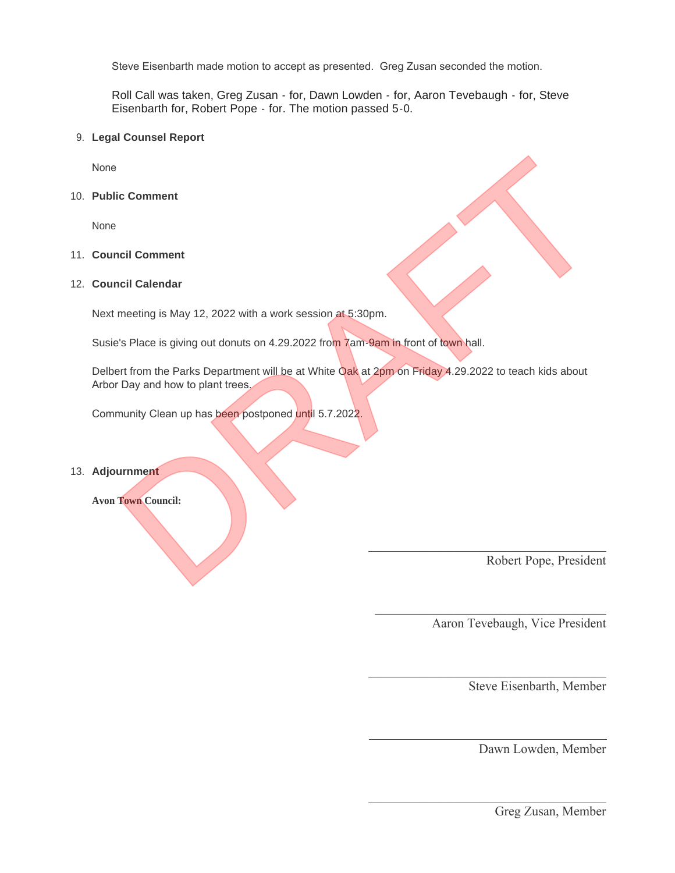Steve Eisenbarth made motion to accept as presented. Greg Zusan seconded the motion.

Roll Call was taken, Greg Zusan - for, Dawn Lowden - for, Aaron Tevebaugh - for, Steve Eisenbarth for, Robert Pope - for. The motion passed 5-0.

### **Legal Counsel Report** 9.

None

**Public Comment** 10.

None

### **Council Comment** 11.

# **Council Calendar** 12.

Next meeting is May 12, 2022 with a work session at 5:30pm.

Susie's Place is giving out donuts on 4.29.2022 from 7am-9am in front of town hall.

Delbert from the Parks Department will be at White Oak at 2pm on Friday 4.29.2022 to teach kids about Arbor Day and how to plant trees. richt Comment<br>
Incilie Calendar<br>
Incilie Calendar<br>
In the Pakis Department will be at White Oak at 2pm on Friday 4,29,2022 to teach kids about<br>
Day and how to plant trees.<br>
Incilie Calendar will be at White Oak at 2pm on F

 $\mathcal{L}=\{1,2,3,4,5\}$ 

 $\mathcal{L}_\text{max}$  and  $\mathcal{L}_\text{max}$  and  $\mathcal{L}_\text{max}$  and  $\mathcal{L}_\text{max}$  and  $\mathcal{L}_\text{max}$  and  $\mathcal{L}_\text{max}$ 

 $\mathcal{L}_\text{max}$  , and the contract of the contract of the contract of the contract of the contract of the contract of the contract of the contract of the contract of the contract of the contract of the contract of the contr

 $\mathcal{L}_\text{max}$  , and the contract of the contract of the contract of the contract of the contract of the contract of the contract of the contract of the contract of the contract of the contract of the contract of the contr

Community Clean up has been postponed until 5.7.2022.

### **Adjournment** 13.

**Avon Town Council:**

Robert Pope, President

Aaron Tevebaugh, Vice President

Steve Eisenbarth, Member

Dawn Lowden, Member

Greg Zusan, Member